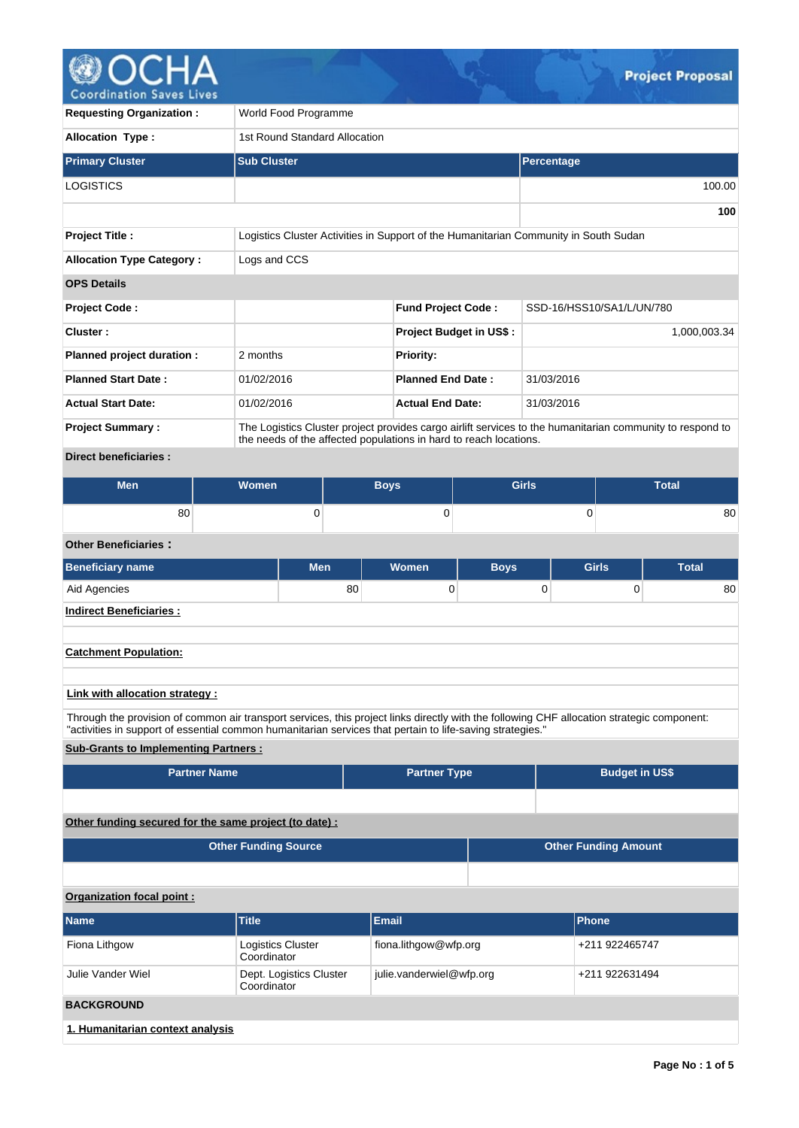

| <b>Requesting Organization:</b>  | World Food Programme                                                                                                                                                           |                                                                                      |                           |  |  |  |  |  |  |  |
|----------------------------------|--------------------------------------------------------------------------------------------------------------------------------------------------------------------------------|--------------------------------------------------------------------------------------|---------------------------|--|--|--|--|--|--|--|
| <b>Allocation Type:</b>          |                                                                                                                                                                                | 1st Round Standard Allocation                                                        |                           |  |  |  |  |  |  |  |
| <b>Primary Cluster</b>           | <b>Sub Cluster</b>                                                                                                                                                             |                                                                                      | Percentage                |  |  |  |  |  |  |  |
| LOGISTICS                        |                                                                                                                                                                                |                                                                                      | 100.00                    |  |  |  |  |  |  |  |
|                                  |                                                                                                                                                                                |                                                                                      |                           |  |  |  |  |  |  |  |
| <b>Project Title:</b>            |                                                                                                                                                                                | Logistics Cluster Activities in Support of the Humanitarian Community in South Sudan |                           |  |  |  |  |  |  |  |
| <b>Allocation Type Category:</b> | Logs and CCS                                                                                                                                                                   |                                                                                      |                           |  |  |  |  |  |  |  |
| <b>OPS Details</b>               |                                                                                                                                                                                |                                                                                      |                           |  |  |  |  |  |  |  |
| <b>Project Code:</b>             |                                                                                                                                                                                | <b>Fund Project Code:</b>                                                            | SSD-16/HSS10/SA1/L/UN/780 |  |  |  |  |  |  |  |
| Cluster:                         |                                                                                                                                                                                | <b>Project Budget in US\$:</b>                                                       | 1,000,003.34              |  |  |  |  |  |  |  |
| Planned project duration :       | 2 months                                                                                                                                                                       | <b>Priority:</b>                                                                     |                           |  |  |  |  |  |  |  |
| <b>Planned Start Date:</b>       | 01/02/2016                                                                                                                                                                     | <b>Planned End Date:</b><br>31/03/2016                                               |                           |  |  |  |  |  |  |  |
| <b>Actual Start Date:</b>        | 01/02/2016                                                                                                                                                                     | <b>Actual End Date:</b>                                                              | 31/03/2016                |  |  |  |  |  |  |  |
| <b>Project Summary:</b>          | The Logistics Cluster project provides cargo airlift services to the humanitarian community to respond to<br>the needs of the affected populations in hard to reach locations. |                                                                                      |                           |  |  |  |  |  |  |  |
| Disabel bonafiatosian i          |                                                                                                                                                                                |                                                                                      |                           |  |  |  |  |  |  |  |

### **Direct beneficiaries :**

| <b>Men</b> | <b>Women</b> | <b>Boys</b> | <b>Girls</b> | Total |
|------------|--------------|-------------|--------------|-------|
| 80         |              | ◡           |              | 80    |

# **Other Beneficiaries :**

| <b>Beneficiary name</b>            | <b>Men</b> | <b>Women</b> | <b>Boys</b> | <b>Girls</b> | <b>Total</b> |  |  |  |
|------------------------------------|------------|--------------|-------------|--------------|--------------|--|--|--|
| Aid Agencies                       | 80         |              | 0           | 0            | 80           |  |  |  |
| <b>Indirect Beneficiaries:</b>     |            |              |             |              |              |  |  |  |
|                                    |            |              |             |              |              |  |  |  |
| <b>Catchment Population:</b>       |            |              |             |              |              |  |  |  |
|                                    |            |              |             |              |              |  |  |  |
| i iniziridh allanatina atratance c |            |              |             |              |              |  |  |  |

## **Link with allocation strategy :**

Through the provision of common air transport services, this project links directly with the following CHF allocation strategic component: "activities in support of essential common humanitarian services that pertain to life-saving strategies."

## **Sub-Grants to Implementing Partners :**

| <b>Partner Name</b>                                   | <b>Partner Type</b> | <b>Budget in US\$</b> |  |  |  |  |
|-------------------------------------------------------|---------------------|-----------------------|--|--|--|--|
|                                                       |                     |                       |  |  |  |  |
| Other funding secured for the same project (to date): |                     |                       |  |  |  |  |

| <b>Other Funding Source</b> | Other Funding Amount |
|-----------------------------|----------------------|
|                             |                      |

# **Organization focal point :**

| <b>Name</b>                      | <b>Title</b>                            | <b>Email</b>             | <b>Phone</b>   |  |  |  |
|----------------------------------|-----------------------------------------|--------------------------|----------------|--|--|--|
| Fiona Lithgow                    | <b>Logistics Cluster</b><br>Coordinator | fiona.lithgow@wfp.org    | +211 922465747 |  |  |  |
| Julie Vander Wiel                | Dept. Logistics Cluster<br>Coordinator  | julie.vanderwiel@wfp.org | +211 922631494 |  |  |  |
| <b>BACKGROUND</b>                |                                         |                          |                |  |  |  |
| 1. Humanitarian context analysis |                                         |                          |                |  |  |  |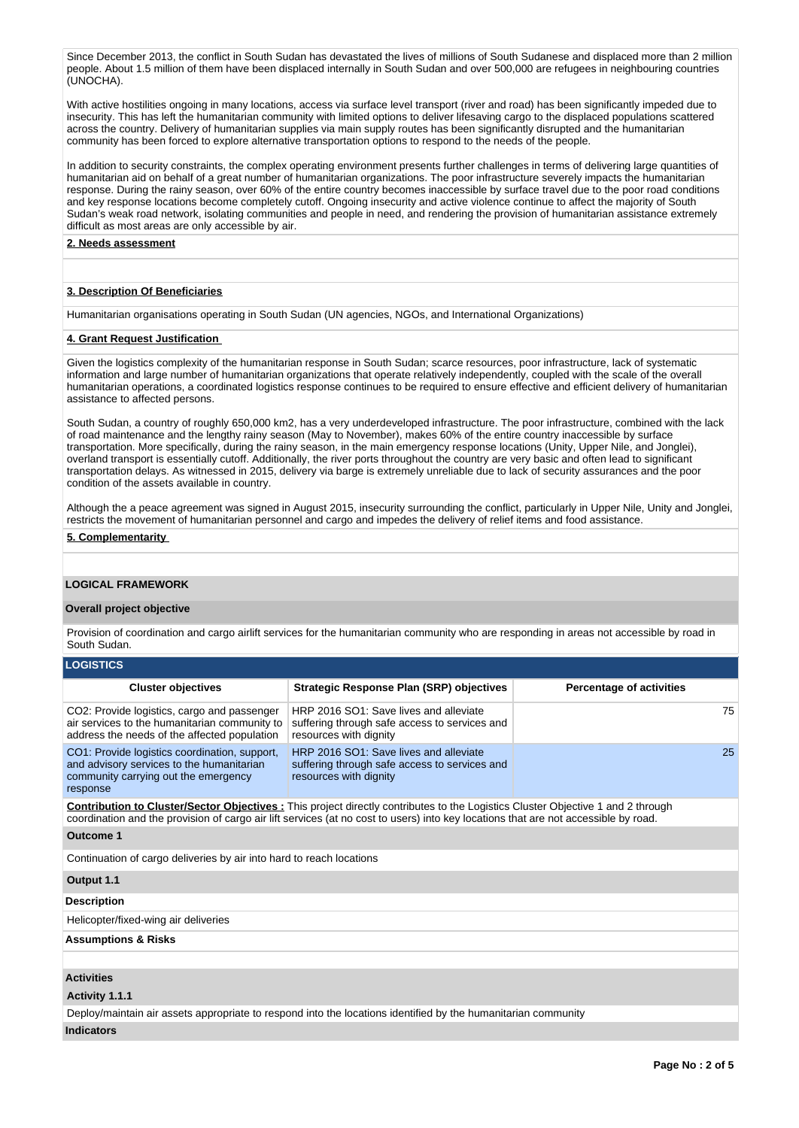Since December 2013, the conflict in South Sudan has devastated the lives of millions of South Sudanese and displaced more than 2 million people. About 1.5 million of them have been displaced internally in South Sudan and over 500,000 are refugees in neighbouring countries (UNOCHA).

With active hostilities ongoing in many locations, access via surface level transport (river and road) has been significantly impeded due to insecurity. This has left the humanitarian community with limited options to deliver lifesaving cargo to the displaced populations scattered across the country. Delivery of humanitarian supplies via main supply routes has been significantly disrupted and the humanitarian community has been forced to explore alternative transportation options to respond to the needs of the people.

In addition to security constraints, the complex operating environment presents further challenges in terms of delivering large quantities of humanitarian aid on behalf of a great number of humanitarian organizations. The poor infrastructure severely impacts the humanitarian response. During the rainy season, over 60% of the entire country becomes inaccessible by surface travel due to the poor road conditions and key response locations become completely cutoff. Ongoing insecurity and active violence continue to affect the majority of South Sudan's weak road network, isolating communities and people in need, and rendering the provision of humanitarian assistance extremely difficult as most areas are only accessible by air.

#### **2. Needs assessment**

### **3. Description Of Beneficiaries**

Humanitarian organisations operating in South Sudan (UN agencies, NGOs, and International Organizations)

### **4. Grant Request Justification**

Given the logistics complexity of the humanitarian response in South Sudan; scarce resources, poor infrastructure, lack of systematic information and large number of humanitarian organizations that operate relatively independently, coupled with the scale of the overall humanitarian operations, a coordinated logistics response continues to be required to ensure effective and efficient delivery of humanitarian assistance to affected persons.

South Sudan, a country of roughly 650,000 km2, has a very underdeveloped infrastructure. The poor infrastructure, combined with the lack of road maintenance and the lengthy rainy season (May to November), makes 60% of the entire country inaccessible by surface transportation. More specifically, during the rainy season, in the main emergency response locations (Unity, Upper Nile, and Jonglei), overland transport is essentially cutoff. Additionally, the river ports throughout the country are very basic and often lead to significant transportation delays. As witnessed in 2015, delivery via barge is extremely unreliable due to lack of security assurances and the poor condition of the assets available in country.

Although the a peace agreement was signed in August 2015, insecurity surrounding the conflict, particularly in Upper Nile, Unity and Jonglei, restricts the movement of humanitarian personnel and cargo and impedes the delivery of relief items and food assistance.

### **5. Complementarity**

### **LOGICAL FRAMEWORK**

#### **Overall project objective**

Provision of coordination and cargo airlift services for the humanitarian community who are responding in areas not accessible by road in South Sudan.

| <b>LOGISTICS</b>                                                                                                                                                                                                                                                              |                                                                                                                   |                                 |  |  |  |  |  |
|-------------------------------------------------------------------------------------------------------------------------------------------------------------------------------------------------------------------------------------------------------------------------------|-------------------------------------------------------------------------------------------------------------------|---------------------------------|--|--|--|--|--|
| <b>Cluster objectives</b>                                                                                                                                                                                                                                                     | Strategic Response Plan (SRP) objectives                                                                          | <b>Percentage of activities</b> |  |  |  |  |  |
| CO2: Provide logistics, cargo and passenger<br>air services to the humanitarian community to<br>address the needs of the affected population                                                                                                                                  | HRP 2016 SO1: Save lives and alleviate<br>suffering through safe access to services and<br>resources with dignity | 75                              |  |  |  |  |  |
| CO1: Provide logistics coordination, support,<br>and advisory services to the humanitarian<br>community carrying out the emergency<br>response                                                                                                                                | HRP 2016 SO1: Save lives and alleviate<br>suffering through safe access to services and<br>resources with dignity | 25                              |  |  |  |  |  |
| <b>Contribution to Cluster/Sector Objectives:</b> This project directly contributes to the Logistics Cluster Objective 1 and 2 through<br>coordination and the provision of cargo air lift services (at no cost to users) into key locations that are not accessible by road. |                                                                                                                   |                                 |  |  |  |  |  |
| Outcome 1                                                                                                                                                                                                                                                                     |                                                                                                                   |                                 |  |  |  |  |  |
| Continuation of cargo deliveries by air into hard to reach locations                                                                                                                                                                                                          |                                                                                                                   |                                 |  |  |  |  |  |
| Output 1.1                                                                                                                                                                                                                                                                    |                                                                                                                   |                                 |  |  |  |  |  |
| <b>Description</b>                                                                                                                                                                                                                                                            |                                                                                                                   |                                 |  |  |  |  |  |
| Helicopter/fixed-wing air deliveries                                                                                                                                                                                                                                          |                                                                                                                   |                                 |  |  |  |  |  |
| <b>Assumptions &amp; Risks</b>                                                                                                                                                                                                                                                |                                                                                                                   |                                 |  |  |  |  |  |
|                                                                                                                                                                                                                                                                               |                                                                                                                   |                                 |  |  |  |  |  |
| <b>Activities</b>                                                                                                                                                                                                                                                             |                                                                                                                   |                                 |  |  |  |  |  |
| Activity 1.1.1                                                                                                                                                                                                                                                                |                                                                                                                   |                                 |  |  |  |  |  |

Deploy/maintain air assets appropriate to respond into the locations identified by the humanitarian community **Indicators**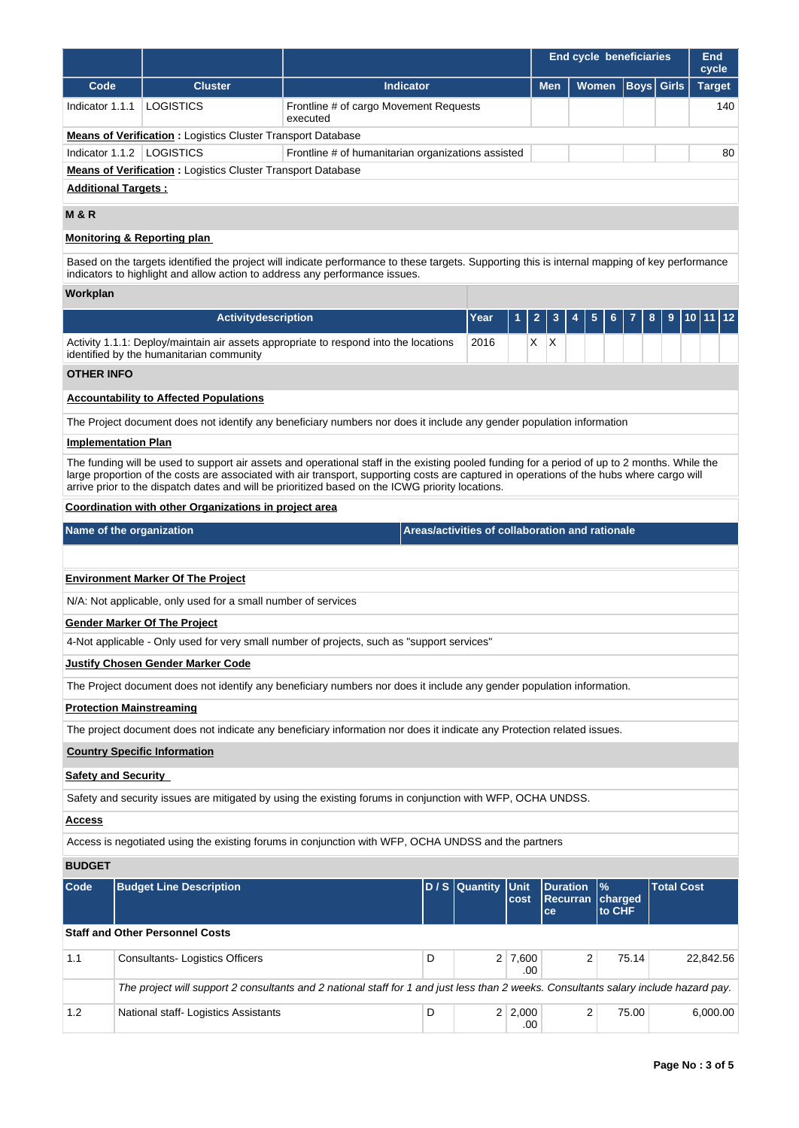|                   |                                                                                                                                                                                                                                                                                                                                                                                                |                                                    |                                                 |                | <b>End cycle beneficiaries</b> |                                            |                   |                   | End<br>cycle  |
|-------------------|------------------------------------------------------------------------------------------------------------------------------------------------------------------------------------------------------------------------------------------------------------------------------------------------------------------------------------------------------------------------------------------------|----------------------------------------------------|-------------------------------------------------|----------------|--------------------------------|--------------------------------------------|-------------------|-------------------|---------------|
| Code              | <b>Cluster</b>                                                                                                                                                                                                                                                                                                                                                                                 | <b>Indicator</b>                                   |                                                 |                | <b>Men</b>                     | <b>Women</b>                               |                   | <b>Boys</b> Girls | <b>Target</b> |
| Indicator 1.1.1   | LOGISTICS                                                                                                                                                                                                                                                                                                                                                                                      | Frontline # of cargo Movement Requests<br>executed |                                                 |                |                                |                                            | 140               |                   |               |
|                   | <b>Means of Verification:</b> Logistics Cluster Transport Database                                                                                                                                                                                                                                                                                                                             |                                                    |                                                 |                |                                |                                            |                   |                   |               |
|                   | Indicator 1.1.2   LOGISTICS                                                                                                                                                                                                                                                                                                                                                                    | Frontline # of humanitarian organizations assisted |                                                 |                |                                |                                            |                   |                   | 80            |
|                   | <b>Means of Verification:</b> Logistics Cluster Transport Database<br><b>Additional Targets:</b>                                                                                                                                                                                                                                                                                               |                                                    |                                                 |                |                                |                                            |                   |                   |               |
| <b>M &amp; R</b>  |                                                                                                                                                                                                                                                                                                                                                                                                |                                                    |                                                 |                |                                |                                            |                   |                   |               |
|                   | <b>Monitoring &amp; Reporting plan</b>                                                                                                                                                                                                                                                                                                                                                         |                                                    |                                                 |                |                                |                                            |                   |                   |               |
|                   | Based on the targets identified the project will indicate performance to these targets. Supporting this is internal mapping of key performance<br>indicators to highlight and allow action to address any performance issues.                                                                                                                                                                  |                                                    |                                                 |                |                                |                                            |                   |                   |               |
| Workplan          |                                                                                                                                                                                                                                                                                                                                                                                                |                                                    |                                                 |                |                                |                                            |                   |                   |               |
|                   | Activitydescription                                                                                                                                                                                                                                                                                                                                                                            |                                                    | Year                                            |                | $\mathbf{2}$<br>3              | 5<br>6                                     | 8                 | 9                 | 12<br>10.     |
|                   | Activity 1.1.1: Deploy/maintain air assets appropriate to respond into the locations<br>identified by the humanitarian community                                                                                                                                                                                                                                                               |                                                    | 2016                                            |                | X X                            |                                            |                   |                   |               |
| <b>OTHER INFO</b> |                                                                                                                                                                                                                                                                                                                                                                                                |                                                    |                                                 |                |                                |                                            |                   |                   |               |
|                   | <b>Accountability to Affected Populations</b>                                                                                                                                                                                                                                                                                                                                                  |                                                    |                                                 |                |                                |                                            |                   |                   |               |
|                   | The Project document does not identify any beneficiary numbers nor does it include any gender population information                                                                                                                                                                                                                                                                           |                                                    |                                                 |                |                                |                                            |                   |                   |               |
|                   | <b>Implementation Plan</b>                                                                                                                                                                                                                                                                                                                                                                     |                                                    |                                                 |                |                                |                                            |                   |                   |               |
|                   | The funding will be used to support air assets and operational staff in the existing pooled funding for a period of up to 2 months. While the<br>large proportion of the costs are associated with air transport, supporting costs are captured in operations of the hubs where cargo will<br>arrive prior to the dispatch dates and will be prioritized based on the ICWG priority locations. |                                                    |                                                 |                |                                |                                            |                   |                   |               |
|                   | Coordination with other Organizations in project area                                                                                                                                                                                                                                                                                                                                          |                                                    |                                                 |                |                                |                                            |                   |                   |               |
|                   | Name of the organization                                                                                                                                                                                                                                                                                                                                                                       |                                                    | Areas/activities of collaboration and rationale |                |                                |                                            |                   |                   |               |
|                   |                                                                                                                                                                                                                                                                                                                                                                                                |                                                    |                                                 |                |                                |                                            |                   |                   |               |
|                   | <b>Environment Marker Of The Project</b>                                                                                                                                                                                                                                                                                                                                                       |                                                    |                                                 |                |                                |                                            |                   |                   |               |
|                   | N/A: Not applicable, only used for a small number of services                                                                                                                                                                                                                                                                                                                                  |                                                    |                                                 |                |                                |                                            |                   |                   |               |
|                   | <b>Gender Marker Of The Project</b>                                                                                                                                                                                                                                                                                                                                                            |                                                    |                                                 |                |                                |                                            |                   |                   |               |
|                   | 4-Not applicable - Only used for very small number of projects, such as "support services"                                                                                                                                                                                                                                                                                                     |                                                    |                                                 |                |                                |                                            |                   |                   |               |
|                   | <b>Justify Chosen Gender Marker Code</b>                                                                                                                                                                                                                                                                                                                                                       |                                                    |                                                 |                |                                |                                            |                   |                   |               |
|                   | The Project document does not identify any beneficiary numbers nor does it include any gender population information.                                                                                                                                                                                                                                                                          |                                                    |                                                 |                |                                |                                            |                   |                   |               |
|                   | <b>Protection Mainstreaming</b>                                                                                                                                                                                                                                                                                                                                                                |                                                    |                                                 |                |                                |                                            |                   |                   |               |
|                   | The project document does not indicate any beneficiary information nor does it indicate any Protection related issues.                                                                                                                                                                                                                                                                         |                                                    |                                                 |                |                                |                                            |                   |                   |               |
|                   | <b>Country Specific Information</b>                                                                                                                                                                                                                                                                                                                                                            |                                                    |                                                 |                |                                |                                            |                   |                   |               |
|                   | <b>Safety and Security</b>                                                                                                                                                                                                                                                                                                                                                                     |                                                    |                                                 |                |                                |                                            |                   |                   |               |
|                   | Safety and security issues are mitigated by using the existing forums in conjunction with WFP, OCHA UNDSS.                                                                                                                                                                                                                                                                                     |                                                    |                                                 |                |                                |                                            |                   |                   |               |
| Access            |                                                                                                                                                                                                                                                                                                                                                                                                |                                                    |                                                 |                |                                |                                            |                   |                   |               |
|                   | Access is negotiated using the existing forums in conjunction with WFP, OCHA UNDSS and the partners                                                                                                                                                                                                                                                                                            |                                                    |                                                 |                |                                |                                            |                   |                   |               |
| <b>BUDGET</b>     |                                                                                                                                                                                                                                                                                                                                                                                                |                                                    |                                                 |                |                                |                                            |                   |                   |               |
| Code              | <b>Budget Line Description</b>                                                                                                                                                                                                                                                                                                                                                                 |                                                    | $D / S$ Quantity                                | Unit<br>cost   |                                | <b>Duration</b><br>$\%$<br><b>Recurran</b> | charged<br>to CHF | <b>Total Cost</b> |               |
|                   | <b>Staff and Other Personnel Costs</b>                                                                                                                                                                                                                                                                                                                                                         |                                                    |                                                 |                | ce                             |                                            |                   |                   |               |
|                   |                                                                                                                                                                                                                                                                                                                                                                                                |                                                    |                                                 |                |                                |                                            |                   |                   |               |
| 1.1               | <b>Consultants-Logistics Officers</b>                                                                                                                                                                                                                                                                                                                                                          |                                                    | D                                               | $2 \mid 7,600$ | .00                            | 2                                          | 75.14             |                   | 22,842.56     |
|                   | The project will support 2 consultants and 2 national staff for 1 and just less than 2 weeks. Consultants salary include hazard pay.                                                                                                                                                                                                                                                           |                                                    |                                                 |                |                                |                                            |                   |                   |               |
| 1.2               | National staff- Logistics Assistants                                                                                                                                                                                                                                                                                                                                                           |                                                    | D                                               | 2 2,000        | .00                            | 2                                          | 75.00             |                   | 6,000.00      |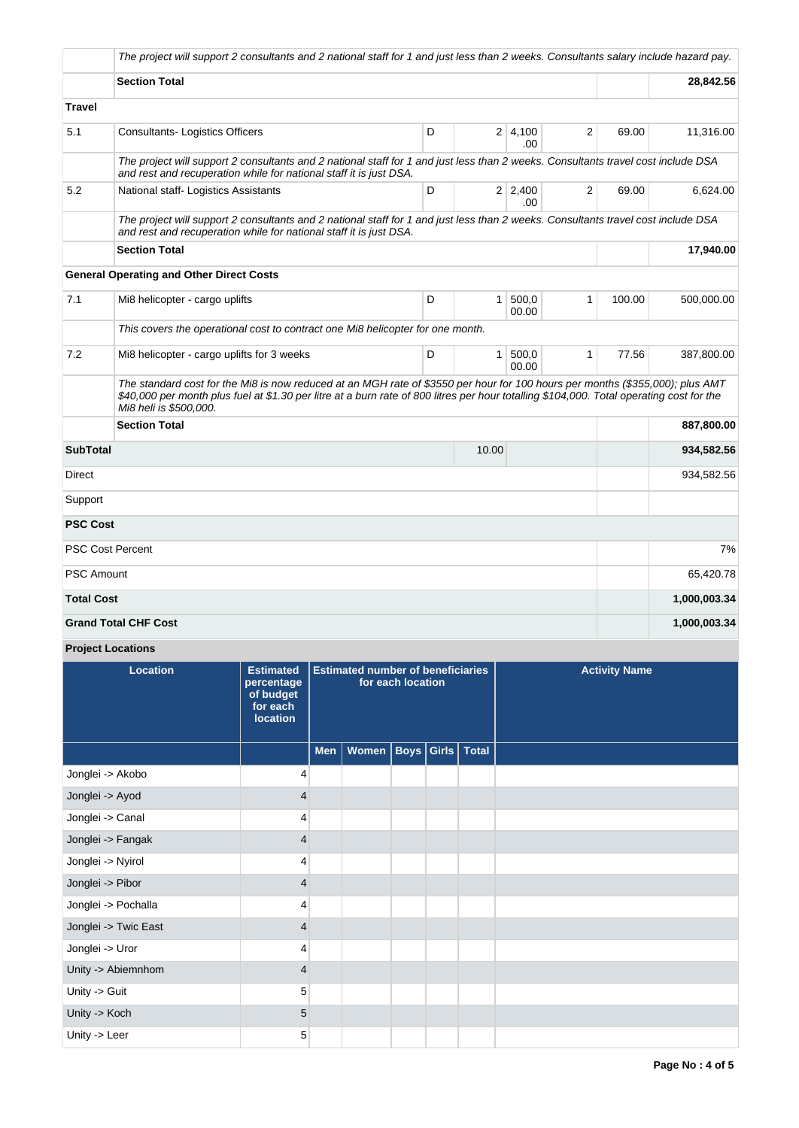|                   | The project will support 2 consultants and 2 national staff for 1 and just less than 2 weeks. Consultants salary include hazard pay.                                                                                                                                                                |   |              |                        |              |        |              |
|-------------------|-----------------------------------------------------------------------------------------------------------------------------------------------------------------------------------------------------------------------------------------------------------------------------------------------------|---|--------------|------------------------|--------------|--------|--------------|
|                   | <b>Section Total</b>                                                                                                                                                                                                                                                                                |   |              |                        |              |        | 28,842.56    |
| <b>Travel</b>     |                                                                                                                                                                                                                                                                                                     |   |              |                        |              |        |              |
| 5.1               | <b>Consultants-Logistics Officers</b>                                                                                                                                                                                                                                                               | D |              | 2 4,100<br>.00         | 2            | 69.00  | 11,316.00    |
|                   | The project will support 2 consultants and 2 national staff for 1 and just less than 2 weeks. Consultants travel cost include DSA<br>and rest and recuperation while for national staff it is just DSA.                                                                                             |   |              |                        |              |        |              |
| 5.2               | National staff- Logistics Assistants                                                                                                                                                                                                                                                                | D |              | $2 \mid 2,400$<br>.00. | 2            | 69.00  | 6,624.00     |
|                   | The project will support 2 consultants and 2 national staff for 1 and just less than 2 weeks. Consultants travel cost include DSA<br>and rest and recuperation while for national staff it is just DSA.                                                                                             |   |              |                        |              |        |              |
|                   | <b>Section Total</b>                                                                                                                                                                                                                                                                                |   |              |                        |              |        | 17,940.00    |
|                   | <b>General Operating and Other Direct Costs</b>                                                                                                                                                                                                                                                     |   |              |                        |              |        |              |
| 7.1               | Mi8 helicopter - cargo uplifts                                                                                                                                                                                                                                                                      | D | $\mathbf{1}$ | 500,0<br>00.00         | 1            | 100.00 | 500,000.00   |
|                   | This covers the operational cost to contract one Mi8 helicopter for one month.                                                                                                                                                                                                                      |   |              |                        |              |        |              |
| 7.2               | Mi8 helicopter - cargo uplifts for 3 weeks                                                                                                                                                                                                                                                          | D | 1            | 500,0<br>00.00         | $\mathbf{1}$ | 77.56  | 387,800.00   |
|                   | The standard cost for the Mi8 is now reduced at an MGH rate of \$3550 per hour for 100 hours per months (\$355,000); plus AMT<br>\$40,000 per month plus fuel at \$1.30 per litre at a burn rate of 800 litres per hour totalling \$104,000. Total operating cost for the<br>Mi8 heli is \$500,000. |   |              |                        |              |        |              |
|                   | <b>Section Total</b>                                                                                                                                                                                                                                                                                |   |              |                        |              |        | 887,800.00   |
| <b>SubTotal</b>   |                                                                                                                                                                                                                                                                                                     |   | 10.00        |                        |              |        | 934,582.56   |
| Direct            |                                                                                                                                                                                                                                                                                                     |   |              |                        |              |        | 934,582.56   |
| Support           |                                                                                                                                                                                                                                                                                                     |   |              |                        |              |        |              |
| <b>PSC Cost</b>   |                                                                                                                                                                                                                                                                                                     |   |              |                        |              |        |              |
|                   | <b>PSC Cost Percent</b>                                                                                                                                                                                                                                                                             |   |              |                        |              |        | 7%           |
| <b>PSC Amount</b> |                                                                                                                                                                                                                                                                                                     |   |              |                        |              |        | 65,420.78    |
| <b>Total Cost</b> |                                                                                                                                                                                                                                                                                                     |   |              |                        |              |        | 1,000,003.34 |
|                   | <b>Grand Total CHF Cost</b>                                                                                                                                                                                                                                                                         |   |              |                        |              |        | 1,000,003.34 |

**Project Locations**

| Location             | <b>Estimated</b><br>percentage<br>of budget<br>for each<br><b>location</b> | <b>Estimated number of beneficiaries</b><br>for each location |                              |  |  | <b>Activity Name</b> |
|----------------------|----------------------------------------------------------------------------|---------------------------------------------------------------|------------------------------|--|--|----------------------|
|                      |                                                                            | Men $ $                                                       | Women   Boys   Girls   Total |  |  |                      |
| Jonglei -> Akobo     | 4                                                                          |                                                               |                              |  |  |                      |
| Jonglei -> Ayod      | $\overline{4}$                                                             |                                                               |                              |  |  |                      |
| Jonglei -> Canal     | 4                                                                          |                                                               |                              |  |  |                      |
| Jonglei -> Fangak    | $\overline{4}$                                                             |                                                               |                              |  |  |                      |
| Jonglei -> Nyirol    | 4                                                                          |                                                               |                              |  |  |                      |
| Jonglei -> Pibor     | $\overline{4}$                                                             |                                                               |                              |  |  |                      |
| Jonglei -> Pochalla  | 4                                                                          |                                                               |                              |  |  |                      |
| Jonglei -> Twic East | $\overline{4}$                                                             |                                                               |                              |  |  |                      |
| Jonglei -> Uror      | 4                                                                          |                                                               |                              |  |  |                      |
| Unity -> Abiemnhom   | $\overline{4}$                                                             |                                                               |                              |  |  |                      |
| Unity -> Guit        | 5                                                                          |                                                               |                              |  |  |                      |
| Unity -> Koch        | 5                                                                          |                                                               |                              |  |  |                      |
| Unity -> Leer        | 5                                                                          |                                                               |                              |  |  |                      |